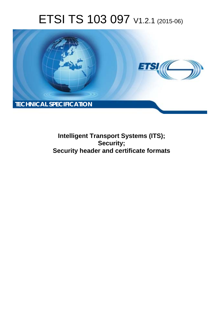# ETSI TS 103 097 V1.2.1 (2015-06)



**Intelligent Transport Systems (ITS); Security; Security header and certificate formats**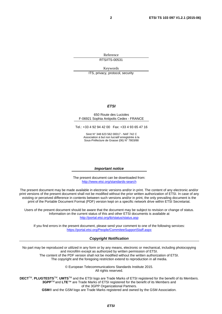Reference RTS/ITS-00531

Keywords

ITS, privacy, protocol, security

#### *ETSI*

#### 650 Route des Lucioles F-06921 Sophia Antipolis Cedex - FRANCE

Tel.: +33 4 92 94 42 00 Fax: +33 4 93 65 47 16

Siret N° 348 623 562 00017 - NAF 742 C Association à but non lucratif enregistrée à la Sous-Préfecture de Grasse (06) N° 7803/88

#### *Important notice*

The present document can be downloaded from: <http://www.etsi.org/standards-search>

The present document may be made available in electronic versions and/or in print. The content of any electronic and/or print versions of the present document shall not be modified without the prior written authorization of ETSI. In case of any existing or perceived difference in contents between such versions and/or in print, the only prevailing document is the print of the Portable Document Format (PDF) version kept on a specific network drive within ETSI Secretariat.

Users of the present document should be aware that the document may be subject to revision or change of status. Information on the current status of this and other ETSI documents is available at <http://portal.etsi.org/tb/status/status.asp>

If you find errors in the present document, please send your comment to one of the following services: <https://portal.etsi.org/People/CommiteeSupportStaff.aspx>

#### *Copyright Notification*

No part may be reproduced or utilized in any form or by any means, electronic or mechanical, including photocopying and microfilm except as authorized by written permission of ETSI.

The content of the PDF version shall not be modified without the written authorization of ETSI. The copyright and the foregoing restriction extend to reproduction in all media.

> © European Telecommunications Standards Institute 2015. All rights reserved.

**DECT**TM, **PLUGTESTS**TM, **UMTS**TM and the ETSI logo are Trade Marks of ETSI registered for the benefit of its Members. **3GPP**TM and **LTE**™ are Trade Marks of ETSI registered for the benefit of its Members and of the 3GPP Organizational Partners.

**GSM**® and the GSM logo are Trade Marks registered and owned by the GSM Association.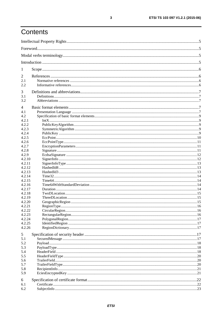# Contents

| 1                |  |
|------------------|--|
| 2                |  |
| 2.1              |  |
| 2.2              |  |
| 3                |  |
| 3.1              |  |
| 3.2              |  |
| 4                |  |
| 4.1              |  |
| 4.2              |  |
| 4.2.1            |  |
| 4.2.2            |  |
| 4.2.3            |  |
| 4.2.4            |  |
| 4.2.5            |  |
| 4.2.6            |  |
| 4.2.7            |  |
| 4.2.8            |  |
| 4.2.9            |  |
| 4.2.10           |  |
| 4.2.11           |  |
| 4.2.12           |  |
| 4.2.13           |  |
| 4.2.14<br>4.2.15 |  |
| 4.2.16           |  |
| 4.2.17           |  |
| 4.2.18           |  |
| 4.2.19           |  |
| 4.2.20           |  |
| 4.2.21           |  |
| 4.2.22           |  |
| 4.2.23           |  |
| 4.2.24           |  |
| 4.2.25           |  |
| 4.2.26           |  |
| 5                |  |
| 5.1              |  |
| 5.2              |  |
| 5.3              |  |
| 5.4              |  |
| 5.5              |  |
| 5.6              |  |
| 5.7              |  |
| 5.8              |  |
| 5.9              |  |
| 6                |  |
| 6.1              |  |
| 6.2              |  |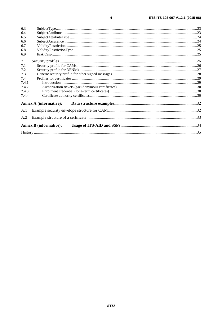| 6.4    |                               |  |
|--------|-------------------------------|--|
| 6.5    |                               |  |
| 6.6    |                               |  |
| 6.7    |                               |  |
| 6.8    |                               |  |
| 6.9    |                               |  |
| $\tau$ |                               |  |
| 7.1    |                               |  |
| 7.2    |                               |  |
| 7.3    |                               |  |
| 7.4    |                               |  |
| 7.4.1  |                               |  |
| 7.4.2  |                               |  |
| 7.4.3  |                               |  |
| 7.4.4  |                               |  |
|        | <b>Annex A (informative):</b> |  |
| A.1    |                               |  |
| A.2    |                               |  |
|        | <b>Annex B</b> (informative): |  |
|        |                               |  |

 $\overline{\mathbf{4}}$ 

6.3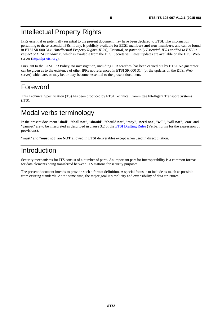# <span id="page-4-0"></span>Intellectual Property Rights

IPRs essential or potentially essential to the present document may have been declared to ETSI. The information pertaining to these essential IPRs, if any, is publicly available for **ETSI members and non-members**, and can be found in ETSI SR 000 314: *"Intellectual Property Rights (IPRs); Essential, or potentially Essential, IPRs notified to ETSI in respect of ETSI standards"*, which is available from the ETSI Secretariat. Latest updates are available on the ETSI Web server ([http://ipr.etsi.org\)](http://webapp.etsi.org/IPR/home.asp).

Pursuant to the ETSI IPR Policy, no investigation, including IPR searches, has been carried out by ETSI. No guarantee can be given as to the existence of other IPRs not referenced in ETSI SR 000 314 (or the updates on the ETSI Web server) which are, or may be, or may become, essential to the present document.

### Foreword

This Technical Specification (TS) has been produced by ETSI Technical Committee Intelligent Transport Systems (ITS).

# Modal verbs terminology

In the present document "**shall**", "**shall not**", "**should**", "**should not**", "**may**", "**need not**", "**will**", "**will not**", "**can**" and "**cannot**" are to be interpreted as described in clause 3.2 of the [ETSI Drafting Rules](http://portal.etsi.org/Help/editHelp!/Howtostart/ETSIDraftingRules.aspx) (Verbal forms for the expression of provisions).

"**must**" and "**must not**" are **NOT** allowed in ETSI deliverables except when used in direct citation.

### Introduction

Security mechanisms for ITS consist of a number of parts. An important part for interoperability is a common format for data elements being transferred between ITS stations for security purposes.

The present document intends to provide such a format definition. A special focus is to include as much as possible from existing standards. At the same time, the major goal is simplicity and extensibility of data structures.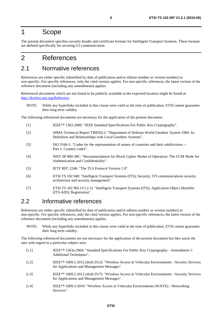### <span id="page-5-0"></span>1 Scope

The present document specifies security header and certificate formats for Intelligent Transport Systems. These formats are defined specifically for securing G5 communication.

### 2 References

### 2.1 Normative references

References are either specific (identified by date of publication and/or edition number or version number) or non-specific. For specific references, only the cited version applies. For non-specific references, the latest version of the reference document (including any amendments) applies.

Referenced documents which are not found to be publicly available in the expected location might be found at <http://docbox.etsi.org/Reference>.

NOTE: While any hyperlinks included in this clause were valid at the time of publication, ETSI cannot guarantee their long term validity.

The following referenced documents are necessary for the application of the present document.

- [1] IEEE™ 1363-2000: "IEEE Standard Specifications For Public Key Cryptography".
- [2] NIMA Technical Report TR8350.2: "Department of Defense World Geodetic System 1984. Its Definition and Relationships with Local Geodetic Systems".
- [3] ISO 3166-1: "Codes for the representation of names of countries and their subdivisions -- Part 1: Country codes".
- [4] NIST SP 800-38C: "Recommendation for Block Cipher Modes of Operation: The CCM Mode for Authentication and Confidentiality".
- [5] IETF RFC 2246: "The TLS Protocol Version 1.0".
- [6] ETSI TS 102 940: "Intelligent Transport Systems (ITS); Security; ITS communications security architecture and security management".
- [7] ETSI TS 102 965 (V1.2.1): "Intelligent Transport Systems (ITS); Application Object Identifier (ITS-AID); Registration".

#### 2.2 Informative references

References are either specific (identified by date of publication and/or edition number or version number) or non-specific. For specific references, only the cited version applies. For non-specific references, the latest version of the reference document (including any amendments) applies.

NOTE: While any hyperlinks included in this clause were valid at the time of publication, ETSI cannot guarantee their long term validity.

The following referenced documents are not necessary for the application of the present document but they assist the user with regard to a particular subject area.

- [i.1] IEEE™ 1363a-2004: "Standard Specifications For Public Key Cryptography Amendment 1: Additional Techniques".
- [i.2] IEEE™ 1609.2-2012 (draft D12): "Wireless Access in Vehicular Environments Security Services for Applications and Management Messages".
- [i.3] IEEE™ 1609.2-2012 (draft D17): "Wireless Access in Vehicular Environments Security Services for Applications and Management Messages".
- [i.4] IEEE™ 1609.3-2010: "Wireless Access in Vehicular Environments (WAVE) Networking Services".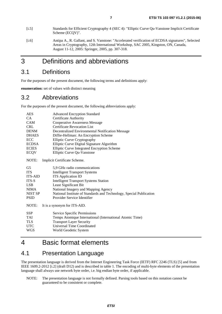- <span id="page-6-0"></span>[i.5] Standards for Efficient Cryptography 4 (SEC 4): "Elliptic Curve Qu-Vanstone Implicit Certificate Scheme (ECQV)".
- [i.6] Antipa A., R. Gallant, and S. Vanstone: "Accelerated verification of ECDSA signatures", Selected Areas in Cryptography, 12th International Workshop, SAC 2005, Kingston, ON, Canada, August 11-12, 2005: Springer, 2005, pp. 307-318.

### 3 Definitions and abbreviations

#### 3.1 Definitions

For the purposes of the present document, the following terms and definitions apply:

**enumeration:** set of values with distinct meaning

#### 3.2 Abbreviations

For the purposes of the present document, the following abbreviations apply:

| <b>AES</b>     | <b>Advanced Encryption Standard</b>                                 |
|----------------|---------------------------------------------------------------------|
| CA.            | Certificate Authority                                               |
| <b>CAM</b>     | <b>Cooperative Awareness Message</b>                                |
| <b>CRL</b>     | <b>Certificate Revocation List</b>                                  |
| <b>DENM</b>    | Decentralized Environmental Notification Message                    |
| <b>DHAES</b>   | Diffie-Hellman: An Encryption Scheme                                |
| ECC            | Elliptic Curve Cryptography                                         |
| <b>ECDSA</b>   | Elliptic Curve Digital Signature Algorithm                          |
| <b>ECIES</b>   | Elliptic Curve Integrated Encryption Scheme                         |
| ECQV           | Elliptic Curve Qu-Vanstone                                          |
| NOTE:          | Implicit Certificate Scheme.                                        |
| G5             | 5.9 GHz radio communications                                        |
| <b>ITS</b>     | <b>Intelligent Transport Systems</b>                                |
| <b>ITS-AID</b> | <b>ITS</b> Application ID                                           |
| ITS-S          | <b>Intelligent Transport Systems Station</b>                        |
| <b>LSB</b>     | Least Significant Bit                                               |
| <b>NIMA</b>    | National Imagery and Mapping Agency                                 |
| NIST SP        | National Institute of Standards and Technology, Special Publication |
| <b>PSID</b>    | Provider Service Identifier                                         |
| NOTE:          | It is a synonym for ITS-AID.                                        |
| <b>SSP</b>     | Service Specific Permissions                                        |
| TAI            | Temps Atomique International (International Atomic Time)            |
| <b>TLS</b>     | <b>Transport Layer Security</b>                                     |
| <b>UTC</b>     | <b>Universal Time Coordinated</b>                                   |
| WGS            | World Geodetic System                                               |
|                |                                                                     |

### 4 Basic format elements

### 4.1 Presentation Language

The presentation language is derived from the Internet Engineering Task Force (IETF) RFC 2246 (TLS) [[5\]](#page-5-0) and from IEEE 1609.2-2012 [\[i.2](#page-5-0)] (draft D12) and is described in table [1](#page-7-0). The encoding of multi-byte elements of the presentation language shall always use network byte order, i.e. big endian byte order, if applicable.

NOTE: The presentation language is not formally defined. Parsing tools based on this notation cannot be guaranteed to be consistent or complete.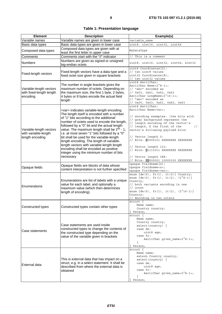|  |  | <b>Table 1: Presentation language</b> |  |
|--|--|---------------------------------------|--|
|--|--|---------------------------------------|--|

<span id="page-7-0"></span>

| <b>Element</b>                                                     | <b>Description</b>                                                                                                                                                                                                                                                                                                                                                                                                                                                                                                                                                                                     | Example(s)                                                                                                                                                                                                                                                                                                                                                                                                                                                                   |
|--------------------------------------------------------------------|--------------------------------------------------------------------------------------------------------------------------------------------------------------------------------------------------------------------------------------------------------------------------------------------------------------------------------------------------------------------------------------------------------------------------------------------------------------------------------------------------------------------------------------------------------------------------------------------------------|------------------------------------------------------------------------------------------------------------------------------------------------------------------------------------------------------------------------------------------------------------------------------------------------------------------------------------------------------------------------------------------------------------------------------------------------------------------------------|
| Variable names                                                     | Variable names are given in lower case                                                                                                                                                                                                                                                                                                                                                                                                                                                                                                                                                                 | variable name                                                                                                                                                                                                                                                                                                                                                                                                                                                                |
| Basic data types                                                   | Basic data types are given in lower case                                                                                                                                                                                                                                                                                                                                                                                                                                                                                                                                                               | uint8, uint16, uint32, uint64                                                                                                                                                                                                                                                                                                                                                                                                                                                |
| Composed data types                                                | Composed data types are given with at<br>least the first letter in upper case                                                                                                                                                                                                                                                                                                                                                                                                                                                                                                                          | MyDataType                                                                                                                                                                                                                                                                                                                                                                                                                                                                   |
| Comments                                                           | Comments start with the "//" indicator                                                                                                                                                                                                                                                                                                                                                                                                                                                                                                                                                                 | This is a comment                                                                                                                                                                                                                                                                                                                                                                                                                                                            |
| Numbers                                                            | Numbers are given as signed or unsigned<br>big-endian octets                                                                                                                                                                                                                                                                                                                                                                                                                                                                                                                                           | uint8, uint16, uint32, uint64, sint32                                                                                                                                                                                                                                                                                                                                                                                                                                        |
| Fixed-length vectors                                               | Fixed-length vectors have a data type and a<br>fixed octet size given in square brackets                                                                                                                                                                                                                                                                                                                                                                                                                                                                                                               | uint8 Coordinates[2];<br>// two uint8 values<br>uint32 Coordinates [8];<br>// two uint32 values                                                                                                                                                                                                                                                                                                                                                                              |
| Variable-length vectors<br>with fixed-length length<br>encoding    | The number in angle brackets gives the<br>maximum number of octets. Depending on<br>the maximum size, the first 1 byte, 2 bytes,<br>4 bytes or 8 bytes encode the actual field<br>length                                                                                                                                                                                                                                                                                                                                                                                                               | uint8 AsciiChar;<br>AsciiChar Name<2^8-1>;<br>// "abc" encoded as<br>// 0x03, 0x61, 0x62, 0x63<br>AsciiChar LongName<2^16-1>;<br>// "abc" encoded as<br>// 0x00, 0x03, 0x61, 0x62, 0x63                                                                                                                                                                                                                                                                                      |
| Variable-length vectors<br>with variable-length<br>length encoding | <var> indicates variable-length encoding.<br/>The length itself is encoded with a number<br/>of "1" bits according to the additional<br/>number of octets used to encode the length,<br/>followed by a "0" bit and the actual length<br/>value. The maximum length shall be 2<sup>56</sup> - 1,<br/>i.e. at most seven "1" bits followed by a "0"<br/>bit shall be used for the variable-length<br/>length encoding. The length of variable-<br/>length vectors with variable-length length<br/>encoding shall be encoded as positive<br/>integer using the minimum number of bits<br/>necessary</var> | uint8 AsciiChar;<br>AsciiChar Name <var>;<br/>// encoding examples: (the bits with<br/>// grey background represent the<br/>// length encoding of the vector's<br/>// length, X the first of the<br/><math>\frac{1}{2}</math><br/>vector's following payload bits)<br/>// Vector length 5:<br/>// Bits: 00000101 XXXXXXXX XXXXXXXX<br/>// Vector length 123:<br/>// Bits: 01111011 XXXXXXXX XXXXXXXX<br/>// Vector length 388:<br/>// Bits: 10000001 10000100 XXXXXXXX</var> |
| Opaque fields                                                      | Opaque fields are blocks of data whose<br>content interpretation is not further specified                                                                                                                                                                                                                                                                                                                                                                                                                                                                                                              | opaque fieldname[n];<br>opaque fieldname <n>;</n>                                                                                                                                                                                                                                                                                                                                                                                                                            |
| Enumerations                                                       | Enumerations are list of labels with a unique<br>value for each label, and optionally a<br>maximum value (which then determines<br>length of encoding)                                                                                                                                                                                                                                                                                                                                                                                                                                                 | opaque fieldname <var>;<br/>enum <math>\{de(0), fr(1), it(2)\}</math> Country;<br/>enum <math>\{de(0), fr(1), it(2), (2^8-1)\}</math><br/>Country;<br/>// both variants encoding in one<br/>// octet<br/>enum <math>\{de(0), fr(1), it(2), (2^16-1)\}</math><br/>Country;<br/>// Encoding in two octets</var>                                                                                                                                                                |
| Constructed types                                                  | Constructed types contain other types                                                                                                                                                                                                                                                                                                                                                                                                                                                                                                                                                                  | $struct \{$<br>Name name;<br>Country country;<br>Person;                                                                                                                                                                                                                                                                                                                                                                                                                     |
| Case statements                                                    | Case statements are used inside<br>constructed types to change the contents of<br>the constructed type depending on the<br>value of the variable given in brackets                                                                                                                                                                                                                                                                                                                                                                                                                                     | struct {<br>Name name;<br>Country country;<br>$select$ (country) {<br>case de:<br>uint8 age;<br>case fr:<br>AsciiChar given_name<2^8-1>;<br>ł<br>Person;                                                                                                                                                                                                                                                                                                                     |
| External data                                                      | This is external data that has impact on a<br>struct, e.g. in a select statement. It shall be<br>described from where the external data is<br>obtained                                                                                                                                                                                                                                                                                                                                                                                                                                                 | struct {<br>Name name;<br>extern Country country;<br>$select$ (country) {<br>case de:<br>uint8 age;<br>case fr:<br>AsciiChar given_name<2^8-1>;<br>$\mathcal{F}$<br>Person;                                                                                                                                                                                                                                                                                                  |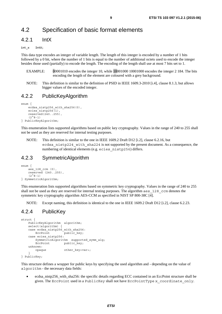### <span id="page-8-0"></span>4.2 Specification of basic format elements

### 4.2.1 IntX

#### int\_x IntX;

This data type encodes an integer of variable length. The length of this integer is encoded by a number of 1 bits followed by a 0 bit, where the number of 1 bits is equal to the number of additional octets used to encode the integer besides those used (partially) to encode the length. The encoding of the length shall use at most 7 bits set to 1.

- EXAMPLE: 00001010 encodes the integer 10, while 10001000 10001000 encodes the integer 2 184. The bits encoding the length of the element are coloured with a grey background.
- NOTE: This definition is similar to the definition of PSID in IEEE 1609.3-2010 [\[i.4](#page-5-0)], clause 8.1.3, but allows bigger values of the encoded integer.

#### 4.2.2 PublicKeyAlgorithm

enum {

```
 ecdsa_nistp256_with_sha256(0), 
    ecies nistp256(1),
     reserved(240..255), 
    (2^8-1)} PublicKeyAlgorithm;
```
This enumeration lists supported algorithms based on public key cryptography. Values in the range of 240 to 255 shall not be used as they are reserved for internal testing purposes.

NOTE: This definition is similar to the one in IEEE 1609.2 Draft D12 [[i.2\]](#page-5-0), clause 6.2.16, but ecdsa nistp224 with sha224 is not supported by the present document. As a consequence, the numbering of identical elements (e.g. ecies nistp256) differs.

#### 4.2.3 SymmetricAlgorithm

```
enum { 
     aes_128_ccm (0), 
     reserved (240..255), 
    (2^A8-1)} SymmetricAlgorithm;
```
This enumeration lists supported algorithms based on symmetric key cryptography. Values in the range of 240 to 255 shall not be used as they are reserved for internal testing purposes. The algorithm a.e.s  $128$  ccm denotes the symmetric key cryptography algorithm AES-CCM as specified in NIST SP 800-38C [\[4](#page-5-0)].

NOTE: Except naming, this definition is identical to the one in IEEE 1609.2 Draft D12 [\[i.2](#page-5-0)], clause 6.2.23.

#### 4.2.4 PublicKey

```
struct { 
    PublicKeyAlgorithm algorithm; 
   select(algorithm) {
    case ecdsa_nistp256_with_sha256: 
       EccPoint public_key;
   case ecies nistp256:
        SymmetricAlgorithm supported_symm_alg; 
                      public key;
    unknown: 
       opaque other key<var>;
 } 
} PublicKey;
```
This structure defines a wrapper for public keys by specifying the used algorithm and - depending on the value of algorithm - the necessary data fields:

ecdsa nistp256 with sha256: the specific details regarding ECC contained in an [EccPoint](#page-9-0) structure shall be given. The EccPoint used in a PublicKey shall not have EccPointType x\_coordinate\_only.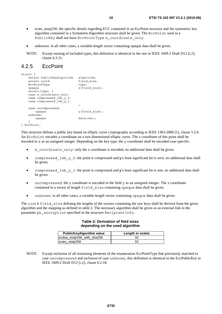- <span id="page-9-0"></span>• ecies\_nistp256: the specific details regarding ECC contained in an EccPoint structure and the symmetric key algorithm contained in a [SymmetricAlgorithm](#page-8-0) structure shall be given. The EccPoint used in a PublicKey shall not have EccPointType x coordinate only.
- unknown: in all other cases, a variable-length vector containing opaque data shall be given.
- NOTE: Except naming of included types, this definition is identical to the one in IEEE 1609.2 Draft D12 [\[i.2](#page-5-0)], clause 6.3.31.

#### 4.2.5 EccPoint

```
struct { 
   extern PublicKeyAlgorithm algorithm;
   extern uint8 field size;
   EccPointType type;
   opaque it is a set of \overline{x} [field size];
    select(type) { 
    case x_coordinate_only: 
   case compressed lsb y 0:
   case compressed \overline{lsb} y 1:
\mathbf{z} case uncompressed: 
       opaque y[field_size]; 
    unknown: 
       opaque data<var>; 
 } 
} EccPoint;
```
This structure defines a public key based on elliptic curve cryptography according to IEEE 1363-2000 [\[1](#page-5-0)], clause 5.5.6. An EccPoint encodes a coordinate on a two dimensional elliptic curve. The x coordinate of this point shall be encoded in x as an unsigned integer. Depending on the key type, the y coordinate shall be encoded case-specific:

- x coordinate only: only the x coordinate is encoded, no additional data shall be given.
- compressed lsb y 0: the point is compressed and y's least significant bit is zero, no additional data shall be given.
- compressed\_lsb\_y\_1: the point is compressed and y's least significant bit is one, no additional data shall be given.
- uncompressed: the y coordinate is encoded in the field y as an unsigned integer. The y coordinate contained in a vector of length field size containing opaque data shall be given.
- unknown: in all other cases, a variable-length vector containing opaque data shall be given.

The uint8 field size defining the lengths of the vectors containing the raw keys shall be derived from the given algorithm and the mapping as defined in table 2. The necessary algorithm shall be given as an external link to the parameter pk encryption specified in the structure [RecipientInfo](#page-20-0).

#### **Table 2: Derivation of field sizes depending on the used algorithm**

| <b>PublicKeyAlgorithm value</b> | Length in octets |
|---------------------------------|------------------|
| ecdsa_nistp256_with_sha256      |                  |
| ecies nistp256                  |                  |

NOTE: Except inclusion of all remaining elements of the enumeration EccPointType that previously matched to case uncompressed and inclusion of case unknown, this definition is identical to the EccPublicKey in IEEE 1609.2 Draft D12 [\[i.2](#page-5-0)], clause 6.2.18.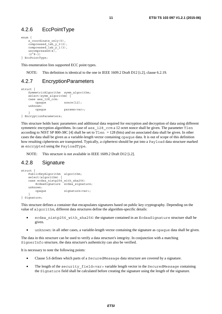### <span id="page-10-0"></span>4.2.6 EccPointType

```
enum { 
    x coordinate only(0),
    compressed \overline{lsb_y0(2)},
    compressed lsb_y1(3),
    uncompressed(4),
    (2^8 - 1)} EccPointType;
```
This enumeration lists supported ECC point types.

NOTE: This definition is identical to the one in IEEE 1609.2 Draft D12 [\[i.2\]](#page-5-0), clause 6.2.19.

### 4.2.7 EncryptionParameters

```
struct { 
   SymmetricAlgorithm symm algorithm;
    select(symm_algorithm) { 
    case aes_128_ccm: 
        opaque nonce[12]; 
    unknown: 
        opaque params<var>; 
 } 
} EncryptionParameters;
```
This structure holds basic parameters and additional data required for encryption and decryption of data using different symmetric encryption algorithms. In case of aes\_128\_ccm a 12 octet nonce shall be given. The parameter Tlen according to NIST SP 800-38C [[4\]](#page-5-0) shall be set to Tlen = 128 (bits) and no associated data shall be given. In other cases the data shall be given as a variable-length vector containing opaque data. It is out of scope of this definition how resulting ciphertexts are transported. Typically, a ciphertext should be put into a [Payload](#page-17-0) data structure marked as encrypted using the [PayloadType](#page-17-0).

NOTE: This structure is not available in IEEE 1609.2 Draft D12 [\[i.2](#page-5-0)].

### 4.2.8 Signature

```
struct { 
     PublicKeyAlgorithm algorithm; 
    select(algorithm) {
     case ecdsa_nistp256_with_sha256: 
        Ecdsasigma^{-}gnature ecdsa signature;
     unknown: 
         opaque signature<var>; 
     } 
} Signature;
```
This structure defines a container that encapsulates signatures based on public key cryptography. Depending on the value of algorithm, different data structures define the algorithm-specific details:

- ecdsa nistp256 with sha256: the signature contained in an [EcdsaSignature](#page-11-0) structure shall be given.
- unknown: in all other cases, a variable-length vector containing the signature as opaque data shall be given.

The data in this structure can be used to verify a data structure's integrity. In conjunction with a matching [SignerInfo](#page-11-0) structure, the data structure's authenticity can also be verified.

It is necessary to note the following points:

- Clause [5.6](#page-19-0) defines which parts of a [SecuredMessage](#page-16-0) data structure are covered by a signature.
- The length of the security field<var> variable length vector in the [SecuredMessage](#page-16-0) containing the Signature field shall be calculated before creating the signature using the length of the signature.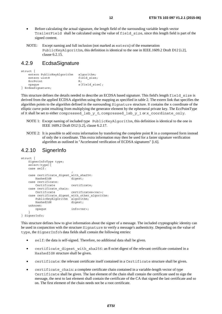- <span id="page-11-0"></span>• Before calculating the actual signature, the length field of the surrounding variable length vector [TrailerField](#page-19-0) shall be calculated using the value of field\_size, since this length field is part of the signed content.
- NOTE: Except naming and full inclusion (not marked as extern) of the enumeration PublicKeyAlgorithm, this definition is identical to the one in IEEE.1609.2 Draft D12 [\[i.2](#page-5-0)], clause 6.2.15.

#### 4.2.9 EcdsaSignature

```
struct { 
   extern PublicKeyAlgorithm algorithm; 
  extern uint8 field size;
  EccPoint R;
  opaque s[field size];
} EcdsaSignature;
```
This structure defines the details needed to describe an ECDSA based signature. This field's length field\_size is derived from the applied ECDSA algorithm using the mapping as specified in table [2](#page-9-0). The extern link that specifies the algorithm points to the algorithm defined in the surrounding [Signature](#page-10-0) structure. R contains the x coordinate of the elliptic curve point resulting from multiplying the generator element by the ephemeral private key. The EccPointType of R shall be set to either compressed lsb y 0, compressed lsb y 1 or x coordinate only.

- NOTE 1: Except naming of included type PublicKeyAlgorithm, this definition is identical to the one in IEEE 1609.2 Draft D12 [\[i.2](#page-5-0)], clause 6.2.17.
- NOTE 2: It is possible to add extra information by transferring the complete point R in a compressed form instead of only the x coordinate. This extra information may then be used for a faster signature verification algorithm as outlined in "Accelerated verification of ECDSA signatures" [\[i.6](#page-6-0)].

#### 4.2.10 SignerInfo

```
struct { 
    SignerInfoType type; 
    select(type){ 
    case self: 
\mathbf{z} case certificate_digest_with_sha256: 
      HashedId8 digest;
    case certificate: 
       Certificate certificate; 
   case certificate chain:
       Certificate certificates<var>; 
    case certificate_digest_with_other_algorithm: 
        PublicKeyAlgorithm algorithm; 
      HashedId8 digest;
    unknown: 
        opaque info<var>; 
 } 
} SignerInfo;
```
This structure defines how to give information about the signer of a message. The included cryptographic identity can be used in conjunction with the structure [Signature](#page-10-0) to verify a message's authenticity. Depending on the value of type, the SignerInfo's data fields shall contain the following entries:

- self: the data is self-signed. Therefore, no additional data shall be given.
- certificate digest with sha256: an 8 octet digest of the relevant certificate contained in a [HashedId8](#page-12-0) structure shall be given.
- certificate: the relevant certificate itself contained in a [Certificate](#page-21-0) structure shall be given.
- certificate chain: a complete certificate chain contained in a variable-length vector of type [Certificate](#page-21-0) shall be given. The last element of the chain shall contain the certificate used to sign the message, the next to last element shall contain the certificate of the CA that signed the last certificate and so on. The first element of the chain needs not be a root certificate.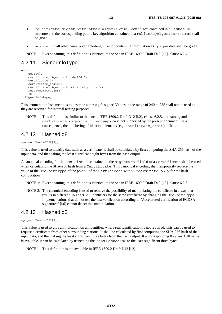- <span id="page-12-0"></span>certificate digest with other algorithm: an 8 octet digest contained in a HashedId8 structure and the corresponding public key algorithm contained in a PublicKeyAlgorithm structure shall be given.
- unknown: in all other cases, a variable-length vector containing information as opaque data shall be given.

NOTE: Except naming, this definition is identical to the one in IEEE 1609.2 Draft D12 [\[i.2](#page-5-0)], clause 6.2.4.

#### 4.2.11 SignerInfoType

```
enum { 
    self(0),
    certificate digest with sha256(1),
    certificate(2),
    certificate_chain(3),
     certificate_digest_with_other_algorithm(4), 
     reserved(240..255), 
    (2^8-1)} SignerInfoType;
```
This enumeration lists methods to describe a message's signer. Values in the range of 240 to 255 shall not be used as they are reserved for internal testing purposes.

NOTE: This definition is similar to the one in IEEE 1609.2 Draft D12 [[i.2\]](#page-5-0), clause 6.2.5, but naming and certificate digest with ecdsap224 is not supported by the present document. As a consequence, the numbering of identical elements (e.g. certificate\_chain) differs.

#### 4.2.12 HashedId8

opaque HashedId8[8];

This value is used to identify data such as a certificate. It shall be calculated by first computing the SHA-256 hash of the input data, and then taking the least significant eight bytes from the hash output.

A canonical encoding for the EccPoint R contained in the signature field of a Certificate shall be used when calculating the SHA-256 hash from a Certificate. This canonical encoding shall temporarily replace the value of the EccPointType of the point R of the Certificate with x coordinate only for the hash computation.

NOTE 1: Except naming, this definition is identical to the one in IEEE 1609.2 Draft D12 [\[i.2](#page-5-0)], clause 6.2.6.

NOTE 2: The canonical encoding is used to remove the possibility of manipulating the certificate in a way that results in different HashedId8 identifiers for the same certificate by changing the EccPointType. Implementations that do not use the fast verification according to "Accelerated verification of ECDSA signatures" [[i.6](#page-6-0)] cannot detect this manipulation.

#### 4.2.13 HashedId3

opaque HashedId3[3];

This value is used to give an indication on an identifier, where real identification is not required. This can be used to request a certificate from other surrounding stations. It shall be calculated by first computing the SHA-256 hash of the input data, and then taking the least significant three bytes from the hash output. If a corresponding HashedId8 value is available, it can be calculated by truncating the longer HashedId8 to the least significant three bytes.

NOTE: This definition is not available in IEEE 1609.2 Draft D12 [\[i.2\]](#page-5-0).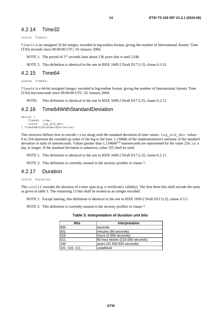#### <span id="page-13-0"></span>4.2.14 Time32

uint32 Time32;

Time32 is an unsigned 32-bit integer, encoded in big-endian format, giving the number of International Atomic Time (TAI) seconds since 00:00:00 UTC, 01 January 2004.

NOTE 1: The period of  $2^{32}$  seconds lasts about 136 years that is until 2140.

NOTE 2: This definition is identical to the one in IEEE 1609.2 Draft D17 [\[i.3\]](#page-5-0), clause 6.3.31.

#### 4.2.15 Time64

uint64 Time64;

Time64 is a 64-bit unsigned integer, encoded in big-endian format, giving the number of International Atomic Time (TAI) microseconds since 00:00:00 UTC, 01 January 2004.

NOTE: This definition is identical to the one in IEEE 1609.2 Draft D17 [\[i.3\]](#page-5-0), clause 6.2.12.

#### 4.2.16 Time64WithStandardDeviation

```
struct { 
    Time64 time;<br>uint8 log s
               log_std_dev;
} Time64WithStandardDeviation;
```
This structure defines how to encode time along with the standard deviation of time values. log\_std\_dev values 0 to 254 represent the rounded up value of the log to the base 1,134666 of the implementation's estimate of the standard deviation in units of nanoseconds. Values greater than  $1,134666^{254}$  nanoseconds are represented by the value 254, i.e. a day or longer. If the standard deviation is unknown, value 255 shall be used.

NOTE 1: This definition is identical to the one in IEEE 1609.2 Draft D17 [\[i.3\]](#page-5-0), clause 6.2.11.

NOTE 2: This definition is currently unused in the security profiles in clause 7.

#### 4.2.17 Duration

uint16 Duration;

This uint16 encodes the duration of a time span (e.g. a certificate's validity). The first three bits shall encode the units as given in table 3. The remaining 13 bits shall be treated as an integer encoded.

NOTE 1: Except naming, this definition is identical to the one in IEEE 1609.2 Draft D12 [\[i.2](#page-5-0)], clause 6.3.5.

NOTE 2: This definition is currently unused in the security profiles in clause 7.

#### **Table 3: Interpretation of duration unit bits**

| <b>Bits</b>   | Interpretation                   |
|---------------|----------------------------------|
| 000           | seconds                          |
| 001           | minutes (60 seconds)             |
| 010           | hours (3 600 seconds)            |
| 011           | 60 hour blocks (216 000 seconds) |
| 100           | years (31 556 925 seconds)       |
| 101, 110, 111 | undefined                        |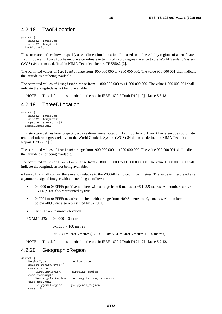#### <span id="page-14-0"></span>4.2.18 TwoDLocation

```
struct { 
     sint32 latitude;<br>sint32 longitude
                 longitude;
} TwoDLocation;
```
This structure defines how to specify a two dimensional location. It is used to define validity regions of a certificate. latitude and longitude encode a coordinate in tenths of micro degrees relative to the World Geodetic System (WGS)-84 datum as defined in NIMA Technical Report TR8350.2 [\[2](#page-5-0)].

The permitted values of latitude range from -900 000 000 to +900 000 000. The value 900 000 001 shall indicate the latitude as not being available.

The permitted values of longitude range from -1 800 000 000 to +1 800 000 000. The value 1 800 000 001 shall indicate the longitude as not being available.

NOTE: This definition is identical to the one in IEEE 1609.2 Draft D12 [\[i.2\]](#page-5-0), clause 6.3.18.

#### 4.2.19 ThreeDLocation

```
struct { 
    sint32 latitude;
     sint32 longitude; 
     opaque elevation[2]; 
} ThreeDLocation;
```
This structure defines how to specify a three dimensional location. latitude and longitude encode coordinate in tenths of micro degrees relative to the World Geodetic System (WGS)-84 datum as defined in NIMA Technical Report TR8350.2 [\[2](#page-5-0)].

The permitted values of latitude range from -900 000 000 to +900 000 000. The value 900 000 001 shall indicate the latitude as not being available.

The permitted values of longitude range from -1 800 000 000 to +1 800 000 000. The value 1 800 000 001 shall indicate the longitude as not being available.

elevation shall contain the elevation relative to the WGS-84 ellipsoid in decimetres. The value is interpreted as an asymmetric signed integer with an encoding as follows:

- 0x0000 to 0xEFFF: positive numbers with a range from 0 metres to +6 143,9 metres. All numbers above +6 143,9 are also represented by 0xEFFF.
- 0xF001 to 0xFFFF: negative numbers with a range from -409,5 metres to -0,1 metres. All numbers below -409,5 are also represented by 0xF001.
- 0xF000: an unknown elevation.

EXAMPLES:  $0x0000 = 0$  metre

 $0x03E8 = 100$  metres

 $0xF7D1 = -209,5$  metres  $(0xF001 + 0x07D0 = -409,5$  metres + 200 metres).

NOTE: This definition is identical to the one in IEEE 1609.2 Draft D12 [\[i.2\]](#page-5-0), clause 6.2.12.

#### 4.2.20 GeographicRegion

```
struct { 
   RegionType region type;
   select(region type){
    case circle: 
       CircularRegion circular region;
    case rectangle: 
       RectangularRegion rectangular region<var>;
    case polygon: 
       PolygonalRegion polygonal region;
    case id:
```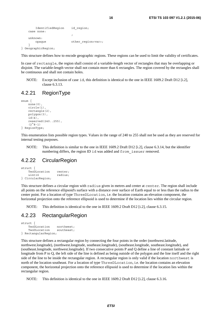```
 IdentifiedRegion id_region; 
   case none: 
\mathbf{z} unknown: 
     opaque other region<var>;
 }
```
} GeographicRegion;

This structure defines how to encode geographic regions. These regions can be used to limit the validity of certificates.

In case of rectangle, the region shall consist of a variable-length vector of rectangles that may be overlapping or disjoint. The variable-length vector shall not contain more than 6 rectangles. The region covered by the rectangles shall be continuous and shall not contain holes.

NOTE: Except inclusion of case id, this definition is identical to the one in IEEE 1609.2 Draft D12 [[i.2](#page-5-0)], clause 6.3.13.

#### 4.2.21 RegionType

```
enum { 
    none(0) circle(1), 
     rectangle(2), 
     polygon(3), 
    id(4).
     reserved(240..255), 
    (2^8-1)} RegionType;
```
This enumeration lists possible region types. Values in the range of 240 to 255 shall not be used as they are reserved for internal testing purposes.

NOTE: This definition is similar to the one in IEEE 1609.2 Draft D12 [[i.2\]](#page-5-0), clause 6.3.14, but the identifier numbering differs, the region ID id was added and from\_issuer removed.

#### 4.2.22 CircularRegion

```
struct { 
     TwoDLocation center;<br>uint16 radius;
                          radius;
} CircularRegion;
```
This structure defines a circular region with radius given in metres and center at center. The region shall include all points on the reference ellipsoid's surface with a distance over surface of Earth equal to or less than the radius to the center point. For a location of type ThreeDLocation, i.e. the location contains an elevation component, the horizontal projection onto the reference ellipsoid is used to determine if the location lies within the circular region.

NOTE: This definition is identical to the one in IEEE 1609.2 Draft D12 [\[i.2\]](#page-5-0), clause 6.3.15.

#### 4.2.23 RectangularRegion

```
struct { 
     TwoDLocation northwest;<br>TwoDLocation southeast;
     TwoDLocation
} RectangularRegion;
```
This structure defines a rectangular region by connecting the four points in the order (northwest.latitude, northwest.longitude), (northwest.longitude, southeast.longitude), (southeast.longitude, southeast.longitude), and (southeast.longitude, northwest.longitude). If two consecutive points P and Q define a line of constant latitude or longitude from P to Q, the left side of the line is defined as being outside of the polygon and the line itself and the right side of the line to be inside the rectangular region. A rectangular region is only valid if the location northwest is north of the location southeast. For a location of type ThreeDLocation, i.e. the location contains an elevation component, the horizontal projection onto the reference ellipsoid is used to determine if the location lies within the rectangular region.

NOTE: This definition is identical to the one in IEEE 1609.2 Draft D12 [\[i.2\]](#page-5-0), clause 6.3.16.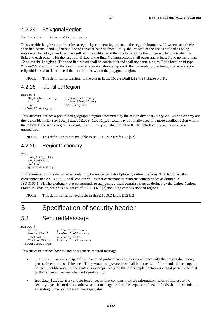#### <span id="page-16-0"></span>4.2.24 PolygonalRegion

```
TwoDLocation PolygonalRegion<var>;
```
This variable-length vector describes a region by enumerating points on the region's boundary. If two consecutively specified points P and Q define a line of constant bearing from P to Q, the left side of the line is defined as being outside of the polygon and the line itself and the right side of the line to be inside the polygon. The points shall be linked to each other, with the last point linked to the first. No intersections shall occur and at least 3 and no more than 12 points shall be given. The specified region shall be continuous and shall not contain holes. For a location of type ThreeDLocation, i.e. the location contains an elevation component, the horizontal projection onto the reference ellipsoid is used to determine if the location lies within the polygonal region.

NOTE: This definition is identical to the one in IEEE 1609.2 Draft D12 [\[i.2\]](#page-5-0), clause 6.3.17.

#### 4.2.25 IdentifiedRegion

```
struct { 
   RegionDictionary region dictionary;
   uint16 region_identifier;
   IntX local region;
} IdentifiedRegion;
```
This structure defines a predefined geographic region determined by the region dictionary region dictionary and the region identifier region identifier. local region may optionally specify a more detailed region within the region. If the whole region is meant, local region shall be set to 0. The details of local\_region are unspecified.

NOTE: This definition is not available in IEEE 1609.2 Draft D12 [\[i.2\]](#page-5-0).

#### 4.2.26 RegionDictionary

```
enum { 
     iso 31661(0),
     un \overline{stats(1)},
      (2^{\overline{8}}-1)} RegionDictionary;
```
This enumeration lists dictionaries containing two-octet records of globally defined regions. The dictionary that corresponds to iso\_3166\_1 shall contain values that correspond to numeric country codes as defined in ISO 3166-1 [\[3](#page-5-0)]. The dictionary that corresponds to un\_stats shall contain values as defined by the United Nations Statistics Division, which is a superset of ISO 3166-1 [\[3](#page-5-0)] including compositions of regions.

NOTE: This definition is not available in IEEE 1609.2 Draft D12 [\[i.2\]](#page-5-0).

# 5 Specification of security header

### 5.1 SecuredMessage

```
struct { 
                  protocol version;
   HeaderField header fields<var>;
   Payload payload_field;
   TrailerField trailer fields<var>;
} SecuredMessage;
```
This structure defines how to encode a generic secured message:

- protocol version specifies the applied protocol version. For compliance with the present document, protocol version 2 shall be used. The protocol\_version shall be increased, if the standard is changed in an incompatible way, i.e. the syntax is incompatible such that older implementations cannot parse the format or the semantic has been changed significantly.
- header fields is a variable-length vector that contains multiple information fields of interest to the security layer. If not defined otherwise in a message profile, the sequence of header fields shall be encoded in ascending numerical order of their type value.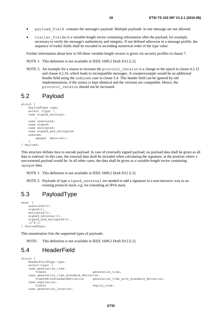- <span id="page-17-0"></span>• payload\_field contains the message's payload. Multiple payloads in one message are not allowed.
- trailer fields is a variable-length vector containing information after the payload, for example, necessary to verify the message's authenticity and integrity. If not defined otherwise in a message profile, the sequence of trailer fields shall be encoded in ascending numerical order of the type value.

Further information about how to fill these variable-length vectors is given via security profiles in clause 7.

NOTE 1: This definition is not available in IEEE 1609.2 Draft D12 [\[i.2\]](#page-5-0).

NOTE 2: An example for a reason to increase the protocol version is a change to the epoch in clause 4.2.15 and clause 4.2.16, which leads to incompatible messages. A counterexample would be an additional header field using the unknown case in clause 5.4. This header field can be ignored by old implementations, if the syntax is kept identical and the versions are compatible. Hence, the protocol\_version should not be increased.

#### 5.2 Payload

```
struct { 
     PayloadType type;
```

```
 select (type) { 
     case signed_external: 
\mathbf{z} case unsecured: 
     case signed: 
     case encrypted: 
     case signed_and_encrypted: 
     unknown: 
     opaque data<var>; 
 } 
} Payload;
```
This structure defines how to encode payload. In case of externally signed payload, no payload data shall be given as all data is external. In this case, the external data shall be included when calculating the signature, at the position where a non-external payload would be. In all other cases, the data shall be given as a variable-length vector containing opaque data.

NOTE 1: This definition is not available in IEEE 1609.2 Draft D12 [\[i.2](#page-5-0)].

NOTE 2: Payloads of type signed external are needed to add a signature in a non-intrusive way to an existing protocol stack, e.g. for extending an IPv6 stack.

#### 5.3 PayloadType

```
enum { 
    unsecured(0),
     signed(1), 
     encrypted(2), 
     signed_external(3), 
    signed and encrypted(4),
     (2^{\bar{6}}8-1)} PayloadType;
```
This enumeration lists the supported types of payloads.

NOTE: This definition is not available in IEEE 1609.2 Draft D12 [\[i.2\]](#page-5-0).

### 5.4 HeaderField

```
struct { 
    HeaderFieldType type; 
    select(type) { 
    case generation_time: 
      Time64 generation time;
    case generation_time_standard_deviation: 
                                  generation time with standard deviation;
    case expiration: 
      Time32 expiry_time;
    case generation_location:
```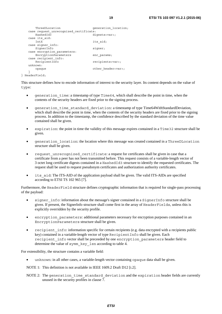```
ThreeDLocation extension generation location;
   case request unrecognized certificate:
     HashedId3 \overline{a} digests<var>;
    case its_aid: 
      IntX its aid;
   case signer info:
       SignerInfo signer; 
   case encryption parameters:
      EncryptionParameters enc_params;
    case recipient_info: 
                               recipients<var>;
    unknown: 
      opaque other header<var>;
 } 
} HeaderField;
```
This structure defines how to encode information of interest to the security layer. Its content depends on the value of type:

- qeneration time: a timestamp of type  $Time64$ , which shall describe the point in time, when the contents of the security headers are fixed prior to the signing process.
- generation time standard deviation: a timestamp of type Time64WithStandardDeviation, which shall describe the point in time, when the contents of the security headers are fixed prior to the signing process. In addition to the timestamp, the confidence described by the standard deviation of the time value contained shall be given.
- expiration: the point in time the validity of this message expires contained in a [Time32](#page-13-0) structure shall be given.
- generation\_location: the location where this message was created contained in a [ThreeDLocation](#page-14-0) structure shall be given.
- request\_unrecognized\_certificate: a request for certificates shall be given in case that a certificate from a peer has not been transmitted before. This request consists of a variable-length vector of 3 octet long certificate digests contained in a [HashedId3](#page-12-0) structure to identify the requested certificates. The request shall be used to request pseudonym certificates and authorization authority certificates.
- its aid: The ITS-AID of the application payload shall be given. The valid ITS-AIDs are specified according to ETSI TS 102 965 [[7\]](#page-5-0).

Furthermore, the HeaderField structure defines cryptographic information that is required for single-pass processing of the payload:

- signer info: information about the message's signer contained in a [SignerInfo](#page-11-0) structure shall be given. If present, the SignerInfo structure shall come first in the array of HeaderFields, unless this is explicitly overridden by the security profile.
- encryption parameters: additional parameters necessary for encryption purposes contained in an [EncryptionParameters](#page-10-0) structure shall be given.
- recipient info: information specific for certain recipients (e.g. data encrypted with a recipients public key) contained in a variable-length vector of type [RecipientInfo](#page-20-0) shall be given. Each recipient\_info vector shall be preceeded by one encryption\_parameters header field to determine the value of symm\_key\_len according to table [4](#page-21-0).

For extensibility, the structure contains a variable field:

• unknown: in all other cases, a variable-length vector containing opaque data shall be given.

NOTE 1: This definition is not available in IEEE 1609.2 Draft D12 [\[i.2\]](#page-5-0).

NOTE 2: The generation time standard deviation and the expiration header fields are currently unused in the security profiles in clause 7.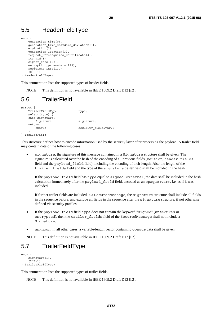### <span id="page-19-0"></span>5.5 HeaderFieldType

```
\overline{m} generation_time(0), 
    generation time standard deviation(1),
    expiration(2),
     generation_location(3), 
     request_unrecognized_certificate(4), 
    its aid(5),
    signer info(128),
     encryption_parameters(129), 
    recipient \overline{info(130)},
    (2^8 - 1)} HeaderFieldType;
```
This enumeration lists the supported types of header fields.

NOTE: This definition is not available in IEEE 1609.2 Draft D12 [\[i.2\]](#page-5-0).

### 5.6 TrailerField

```
struct { 
   TrailerFieldType type;
    select(type) { 
    case signature: 
      Signature signature;
    unkown: 
      opaque security field<var>;
    } 
} TrailerField;
```
This structure defines how to encode information used by the security layer after processing the payload. A trailer field may contain data of the following cases:

• signature: the signature of this message contained in a [Signature](#page-10-0) structure shall be given. The signature is calculated over the hash of the encoding of all previous fields (version, header\_fields field and the payload\_field field), including the encoding of their length. Also the length of the trailer fields field and the type of the signature trailer field shall be included in the hash.

If the payload\_field field has type equal to signed\_external, the data shall be included in the hash calculation immediately after the payload field field, encoded as an opaque<var>, i.e. as if it was included.

If further trailer fields are included in a SecuredMessage, the signature structure shall include all fields in the sequence before, and exclude all fields in the sequence after the signature structure, if not otherwise defined via security profiles.

- If the payload field field type does not contain the keyword "signed" (unsecured or encrypted), then the trailer\_fields field of the SecuredMessage shall not include a [Signature](#page-10-0).
- unknown: in all other cases, a variable-length vector containing opaque data shall be given.

NOTE: This definition is not available in IEEE 1609.2 Draft D12 [\[i.2\]](#page-5-0).

### 5.7 TrailerFieldType

```
enum { 
     signature(1), 
     (2^8 - 1)} TrailerFieldType;
```
This enumeration lists the supported types of trailer fields.

NOTE: This definition is not available in IEEE 1609.2 Draft D12 [\[i.2\]](#page-5-0).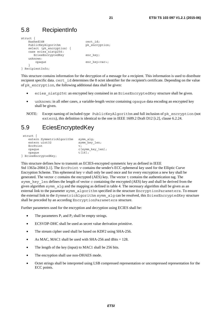## <span id="page-20-0"></span>5.8 RecipientInfo

```
struct { 
   HashedId8 cert id;
   PublicKeyAlgorithm pk_encryption;
   select (pk_encryption) {
    case ecies_nistp256: 
     EciesEncryptedKey enc_key;
    unknown: 
      opaque enc key<var>;
 } 
} RecipientInfo;
```
This structure contains information for the decryption of a message for a recipient. This information is used to distribute recipient specific data. cert\_id determines the 8 octet identifier for the recipient's certificate. Depending on the value of pk\_encryption, the following additional data shall be given:

- ecies nistp256: an encrypted key contained in an EciesEncryptedKey structure shall be given.
- unknown: in all other cases, a variable-length vector containing opaque data encoding an encrypted key shall be given.
- NOTE: Except naming of included type PublicKeyAlgorithm and full inclusion of pk\_encryption (not extern), this definition is identical to the one in IEEE 1609.2 Draft D12 [\[i.2](#page-5-0)], clause 6.2.24.

### 5.9 EciesEncryptedKey

```
 struct { 
   extern SymmetricAlgorithm symm_alg;<br>extern uint32 symm key
                           symm_key_len;
   EccPoint v:
    opaque c[symm_key_len]; 
    opaque t[16]; 
} EciesEncryptedKey;
```
This structure defines how to transmit an ECIES-encrypted symmetric key as defined in IEEE Std 1363a-2004 [\[i.1](#page-5-0)]. The [EccPoint](#page-9-0) v contains the sender's ECC ephemeral key used for the Elliptic Curve Encryption Scheme. This ephemeral key v shall only be used once and for every encryption a new key shall be generated. The vector c contains the encrypted (AES) key. The vector t contains the authentication tag. The symm key len defines the length of vector c containing the encrypted (AES) key and shall be derived from the given algorithm symm\_alg and the mapping as defined in table [4.](#page-21-0) The necessary algorithm shall be given as an external link to the parameter [symm\\_algorithm](#page-10-0) specified in the structure [EncryptionParameters](#page-10-0). To ensure the external link to the [SymmetricAlgorithm](#page-8-0) symm\_alg can be resolved, this EciesEncryptedKey structure shall be preceded by an according [EncryptionParameters](#page-10-0) structure.

Further parameters used for the encryption and decryption using ECIES shall be:

- The parameters  $P_1$  and  $P_2$  shall be empty strings.
- ECSVDP-DHC shall be used as secret value derivation primitive.
- The stream cipher used shall be based on KDF2 using SHA-256.
- As MAC, MAC1 shall be used with SHA-256 and tBits  $= 128$ .
- The length of the key (input) to MAC1 shall be 256 bits.
- The encryption shall use non-DHAES mode.
- Octet strings shall be interpreted using LSB compressed representation or uncompressed representation for the ECC points.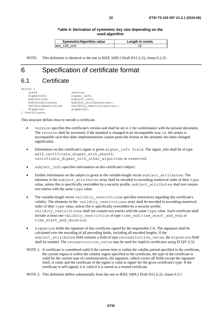| <b>SymmetricAlgorithm value</b> | Length in octets |
|---------------------------------|------------------|
| aes 128 ccm                     |                  |

<span id="page-21-0"></span>NOTE: This definition is identical to the one in IEEE 1609.2 Draft D12 [\[i.2\]](#page-5-0), clause 6.2.25.

# 6 Specification of certificate format

### 6.1 Certificate

```
struct { 
   uint8 version;
   SignerInfo signer_info;
   SubjectInfo subject_info;
   SubjectAttribute subject_attributes<var>;<br>ValidityRestriction validity restrictions<va
                          validity restrictions<var>;
   Signature signature;
} Certificate;
```
This structure defines how to encode a certificate.

- version specifies this certificate's version and shall be set to 2 for conformance with the present document. The version shall be increased, if the standard is changed in an incompatible way, i.e. the syntax is incompatible such that older implementations cannot parse the format or the semantic has been changed significantly.
- Information on this certificate's signer is given signer\_info field. The signer\_info shall be of type self, certificate digest with sha256, certificate digest with other algorithm, or reserved.
- subject\_info specifies information on this certificate's subject.
- Further information on the subject is given in the variable-length vector subject attributes. The elements in the subject\_attributes array shall be encoded in ascending numerical order of their type value, unless this is specifically overridden by a security profile. subject\_attributes shall not contain two entries with the same type value.
- The variable-length vector validity\_restrictions specifies restrictions regarding this certificate's validity. The elements in the validity restrictions array shall be encoded in ascending numerical order of their type value, unless this is specifically overridden by a security profile. validity restrictions shall not contain two entries with the same type value. Each certificate shall include at least one validity\_restriction of type time\_end, time\_start\_and\_end, or time start and duration.
- signature holds the signature of this certificate signed by the responsible CA. The signature shall be calculated over the encoding of all preceding fields, including all encoded lengths. If the subject attributes field contains a field of type reconstruction value, the signature field shall be omitted. The reconstruction value may be used for implicit certificates using ECQV [[i.5](#page-6-0)].
- NOTE 1: A certificate is considered valid if the current time is within the validity period specified in the certificate, the current region is within the validity region specified in the certificate, the type of the certificate is valid for the current type of communication, the signature, which covers all fields except the signature itself, is valid, and the certificate of the signer is valid as signer for the given certificate's type. If the certificate is self-signed, it is valid if it is stored as a trusted certificate.

NOTE 2: This definition differs substantially from the one in IEEE 1609.2 Draft D12 [[i.2\]](#page-5-0), clause 6.3.1.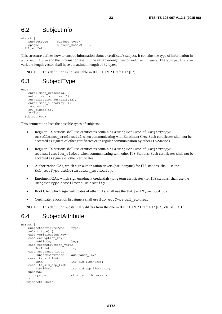### <span id="page-22-0"></span>6.2 SubjectInfo

```
struct { 
   SubjectType subject type;
    opaque subject_name<2^8-1>; 
} SubjectInfo;
```
This structure defines how to encode information about a certificate's subject. It contains the type of information in subject type and the information itself in the variable-length vector subject name. The subject name variable-length vector shall have a maximum length of 32 bytes.

NOTE: This definition is not available in IEEE 1609.2 Draft D12 [\[i.2\]](#page-5-0).

### 6.3 SubjectType

```
enum { 
    enrollment credential(0),
    authorization ticket(1),
    authorization authority(2),
     enrollment_authority(3), 
     root_ca(4), 
    crl signer(5),
    (2^{\lambda}8-1)} SubjectType;
```
This enumeration lists the possible types of subjects:

- Regular ITS stations shall use certificates containing a SubjectInfo of SubjectType enrollment credential when communicating with Enrolment CAs. Such certificates shall not be accepted as signers of other certificates or in regular communication by other ITS-Stations.
- Regular ITS stations shall use certificates containing a SubjectInfo of SubjectType authorization ticket when communicating with other ITS-Stations. Such certificates shall not be accepted as signers of other certificates.
- Authorization CAs, which sign authorization tickets (pseudonyms) for ITS stations, shall use the SubjectType authorization authority.
- Enrolment CAs, which sign enrolment credentials (long term certificates) for ITS stations, shall use the SubjectType enrollment authority.
- Root CAs, which sign certificates of other CAs, shall use the Subject Type root ca.
- Certificate revocation list signers shall use SubjectType crl signer.

NOTE: This definition substantially differs from the one in IEEE 1609.2 Draft D12 [[i.2\]](#page-5-0), clause 6.3.3.

### 6.4 SubjectAttribute

```
struct { 
   SubjectAttributeType type;
    select(type) { 
    case verification_key: 
    case encryption_key: 
      PublicKey key;
    case reconstruction_value: 
      EccPoint rv; case assurance_level: 
      SubjectAssurance assurance level;
    case its_aid_list: 
       IntX its aid list<var>;
    case its_aid_ssp_list: 
       ItsAidSsp its_aid_ssp_list<var>;
    unknown: 
       opaque other attribute<var>;
 } 
} SubjectAttribute;
```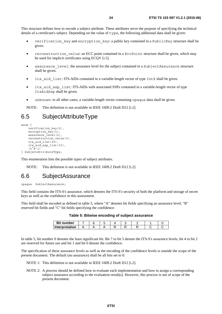<span id="page-23-0"></span>This structure defines how to encode a subject attribute. These attributes serve the purpose of specifying the technical details of a certificate's subject. Depending on the value of type, the following additional data shall be given:

- verification key and encryption key: a public key contained in a PublicKey structure shall be given.
- reconstruction value: an ECC point contained in a [EccPoint](#page-9-0) structure shall be given, which may be used for implicit certificates using ECQV [[i.5\]](#page-6-0).
- assurance level: the assurance level for the subject contained in a SubjectAssurance structure shall be given.
- its aid list: ITS-AIDs contained in a variable-length vector of type [IntX](#page-8-0) shall be given.
- its\_aid\_ssp\_list: ITS-AIDs with associated SSPs contained in a variable-length vector of type [ItsAidSsp](#page-24-0) shall be given.
- unknown: in all other cases, a variable-length vector containing opaque data shall be given.

NOTE: This definition is not available in IEEE 1609.2 Draft D12 [\[i.2\]](#page-5-0).

### 6.5 SubjectAttributeType

```
enum { 
     verification_key(0), 
    encryption key(1),
    assurance \rceilevel(2),
    reconstruction value(3),
    its aid list(32),
    its aid ssp list(33),
    (2^{\lambda}8-1)
} SubjectAttributeType;
```
This enumeration lists the possible types of subject attributes.

NOTE: This definition is not available in IEEE 1609.2 Draft D12 [\[i.2\]](#page-5-0).

#### 6.6 SubjectAssurance

opaque SubjectAssurance;

This field contains the ITS-S's assurance, which denotes the ITS-S's security of both the platform and storage of secret keys as well as the confidence in this assessment.

This field shall be encoded as defined in table 5, where "A" denotes bit fields specifying an assurance level, "R" reserved bit fields and "C" bit fields specifying the confidence.

|  | Table 5: Bitwise encoding of subject assurance |  |  |
|--|------------------------------------------------|--|--|
|--|------------------------------------------------|--|--|

| <b>Bit number</b> |  |  |  |  |
|-------------------|--|--|--|--|
| Interpretation    |  |  |  |  |

In table 5, bit number 0 denotes the least significant bit. Bit 7 to bit 5 denote the ITS-S's assurance levels, bit 4 to bit 2 are reserved for future use and bit 1 and bit 0 denote the confidence.

The specification of these assurance levels as well as the encoding of the confidence levels is outside the scope of the present document. The default (no assurance) shall be all bits set to 0.

- NOTE 1: This definition is not available in IEEE 1609.2 Draft D12 [\[i.2\]](#page-5-0).
- NOTE 2: A process should be defined how to evaluate each implementation and how to assign a corresponding subject assurance according to the evaluation result(s). However, this process is out of scope of the present document.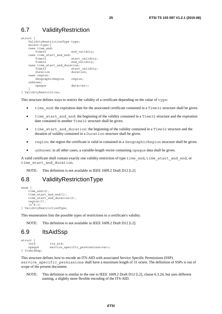### <span id="page-24-0"></span>6.7 ValidityRestriction

```
struct {
    ValidityRestrictionType type; 
   select(type){
    case time_end: 
       Time32 end validity;
    case time_start_and_end: 
       Time32 = start validity;
       Time32 end validity;
    case time_start_and_duration: 
       Time32 start_validity;<br>Duration duration;
       Duration
    case region: 
       GeographicRegion region; 
    unknown: 
        opaque data<var>; 
 } 
} ValidityRestriction;
```
This structure defines ways to restrict the validity of a certificate depending on the value of type:

- time end: the expiration date for the associated certificate contained in a [Time32](#page-13-0) structure shall be given.
- time start and end: the beginning of the validity contained in a [Time32](#page-13-0) structure and the expiration date contained in another [Time32](#page-13-0) structure shall be given.
- time start and duration: the beginning of the validity contained in a [Time32](#page-13-0) structure and the duration of validity contained in a [Duration](#page-13-0) structure shall be given.
- region: the region the certificate is valid in contained in a Geographic Region structure shall be given.
- unknown: in all other cases, a variable-length vector containing opaque data shall be given.

A valid certificate shall contain exactly one validity restriction of type time\_end, time\_start\_and\_end, or time start and duration.

NOTE: This definition is not available in IEEE 1609.2 Draft D12 [\[i.2\]](#page-5-0).

### 6.8 ValidityRestrictionType

```
enum { 
    time_end(0),
    time<sup>start</sup> and end(1),
    time_start_and_duration(2),
    reation(3),
    (2^8-1)} ValidityRestrictionType;
```
This enumeration lists the possible types of restrictions to a certificate's validity.

NOTE: This definition is not available in IEEE 1609.2 Draft D12 [\[i.2\]](#page-5-0).

### 6.9 ItsAidSsp

```
struct { 
               its aid;
   opaque service specific permissions<var>;
} ItsAidSsp;
```
This structure defines how to encode an ITS-AID with associated Service Specific Permissions (SSP). service specific permissions shall have a maximum length of 31 octets. The definition of SSPs is out of scope of the present document.

NOTE: This definition is similar to the one in IEEE 1609.2 Draft D12 [\[i.2\]](#page-5-0), clause 6.3.24, but uses different naming, a slightly more flexible encoding of the ITS-AID.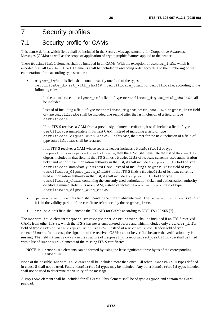## <span id="page-25-0"></span>7 Security profiles

### 7.1 Security profile for CAMs

This clause defines which fields shall be included in the SecuredMessage structure for Cooperative Awareness Messages (CAMs) as well as the scope of application of cryptographic features applied to the header.

These [HeaderField](#page-17-0) elements shall be included in all CAMs. With the exception of signer info, which is encoded first, all header\_field elements shall be included in ascending order according to the numbering of the enumeration of the according type structure:

- signer info: this field shall contain exactly one field of the types certificate digest with sha256, certificate chain or certificate, according to the following rules:
	- In the normal case, the signer info field of type certificate digest with sha256 shall be included.
	- Instead of including a field of type certificate digest with sha256, a signer info field of type certificate shall be included one second after the last inclusion of a field of type certificate.
	- If the ITS-S receives a CAM from a previously unknown certificate, it shall include a field of type certificate immediately in its next CAM, instead of including a field of type certificate digest with sha256. In this case, the timer for the next inclusion of a field of type certificate shall be restarted.
	- If an ITS-S receives a CAM whose security header includes a HeaderField of type request\_unrecognized\_certificate, then the ITS-S shall evaluate the list of [HashedId3](#page-12-0) digests included in that field. If the ITS-S finds a [HashedId3](#page-12-0) of its own, currently used authorization ticket and not of the authorization authority in that list, it shall include a signer\_info field of type certificate immediately in its next CAM, instead of including a signer\_info field of type certificate digest with sha256. If the ITS-S finds a [HashedId3](#page-12-0) of its own, currently used authorization authority in that list, it shall include a signer info field of type certificate chain containing the currently used authorization ticket and authorization authority certificate immediately in its next CAM, instead of including a signer\_info field of type certificate digest with sha256.
- generation\_time: this field shall contain the current absolute time. The generation\_time is valid, if it is in the validity period of the certificate referenced by the signer\_info.
- its aid: this field shall encode the ITS-AID for CAMs according to ETSI TS 102 965 [\[7](#page-5-0)].

The HeaderField element request unrecognized certificate shall be included if an ITS-S received CAMs from other ITS-Ss, which the ITS-S has never encountered before and which included only a signer\_info field of type certificate digest with sha256 instead of a signer info HeaderField of type certificate. In this case, the signature of the received CAMs cannot be verified because the verification key is missing. The field digests<var> in the structure of request\_unrecognized\_certificate shall be filled with a list of [HashedId3](#page-12-0) elements of the missing ITS-S certificates.

NOTE 1: [HashedId3](#page-12-0) elements can be formed by using the least significant three bytes of the corresponding HashedId8.

None of the possible HeaderField cases shall be included more than once. All other HeaderField types defined in clause 5 shall not be used. Future HeaderField types may be included. Any other HeaderField types included shall not be used to determine the validity of the message.

A [Payload](#page-17-0) element shall be included for all CAMs. This element shall be of type signed and contain the CAM payload.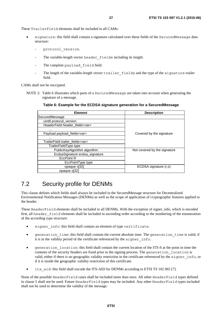<span id="page-26-0"></span>These [TrailerField](#page-19-0) elements shall be included in all CAMs:

- signature: this field shall contain a signature calculated over these fields of the [SecuredMessage](#page-16-0) data structure:
	- protocol version.
	- The variable-length vector header fields including its length.
	- The complete payload field field.
	- The length of the variable-length vector trailer fields and the type of the signature trailer field.

CAMs shall not be encrypted.

NOTE 2: Table 6 illustrates which parts of a SecuredMessage are taken into account when generating the signature of a message.

**Table 6: Example for the ECDSA signature generation for a SecuredMessage** 

| <b>Element</b>                          | <b>Description</b>           |
|-----------------------------------------|------------------------------|
| SecuredMessage                          |                              |
| uint8 protocol_version                  |                              |
| HeaderField header_fields <var></var>   |                              |
| .                                       |                              |
| Payload payload_fields <var></var>      | Covered by the signature     |
| .                                       |                              |
| TrailerField trailer fields <var></var> |                              |
| TrailerFieldType type                   |                              |
| PublicKeyAlgorithm algorithm            | Not covered by the signature |
| EcdsaSignature ecdsa_signature          |                              |
| <b>EccPoint R</b>                       |                              |
| EccPointType type                       |                              |
| opaque x[32]                            | ECDSA signature (r,s)        |
| opaque s[32]                            |                              |

### 7.2 Security profile for DENMs

This clause defines which fields shall always be included in the SecuredMessage structure for Decentralized Environmental Notification Messages (DENMs) as well as the scope of application of cryptographic features applied to the header.

These [HeaderField](#page-17-0) elements shall be included in all DENMs. With the exception of signer\_info, which is encoded first, all header field elements shall be included in ascending order according to the numbering of the enumeration of the according type structure:

- signer info: this field shall contain an element of type certificate.
- generation time: this field shall contain the current absolute time. The generation time is valid, if it is in the validity period of the certificate referenced by the signer\_info.
- generation\_location: this field shall contain the current location of the ITS-S at the point in time the contents of the security headers are fixed prior to the signing process. The generation\_location is valid, either if there is no geographic validity restriction in the certificate referenced by the signer info, or if it is inside the geographic validity restriction of this certificate.
- its aid: this field shall encode the ITS-AID for DENMs according to ETSI TS 102 965 [\[7](#page-5-0)].

None of the possible HeaderField cases shall be included more than once. All other HeaderField types defined in clause 5 shall not be used. Future HeaderField types may be included. Any other HeaderField types included shall not be used to determine the validity of the message.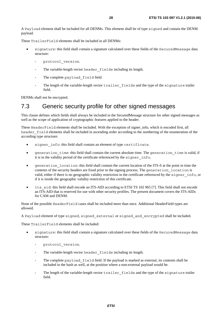<span id="page-27-0"></span>A [Payload](#page-17-0) element shall be included for all DENMs. This element shall be of type signed and contain the DENM payload.

These [TrailerField](#page-19-0) elements shall be included in all DENMs:

- signature: this field shall contain a signature calculated over these fields of the [SecuredMessage](#page-16-0) data structure:
	- protocol version.
	- The variable-length vector header fields including its length.
	- The complete payload field field.
	- The length of the variable-length vector trailer fields and the type of the signature trailer field.

DENMs shall not be encrypted.

### 7.3 Generic security profile for other signed messages

This clause defines which fields shall always be included in the SecuredMessage structure for other signed messages as well as the scope of application of cryptographic features applied to the header.

These [HeaderField](#page-17-0) elements shall be included. With the exception of signer\_info, which is encoded first, all header field elements shall be included in ascending order according to the numbering of the enumeration of the according type structure:

- signer info: this field shall contain an element of type certificate.
- generation time: this field shall contain the current absolute time. The generation time is valid, if it is in the validity period of the certificate referenced by the signer\_info.
- generation location: this field shall contain the current location of the ITS-S at the point in time the contents of the security headers are fixed prior to the signing process. The generation\_location is valid, either if there is no geographic validity restriction in the certificate referenced by the signer\_info, or if it is inside the geographic validity restriction of this certificate.
- its aid: this field shall encode an ITS-AID according to ETSI TS 102 965 [[7\]](#page-5-0). This field shall not encode an ITS-AID that is reserved for use with other security profiles. The present document covers the ITS-AIDs for CAM and DENM.

None of the possible HeaderField cases shall be included more than once. Additional HeaderField types are allowed.

A [Payload](#page-17-0) element of type signed, signed\_external or signed\_and\_encrypted shall be included.

These [TrailerField](#page-19-0) elements shall be included:

- signature: this field shall contain a signature calculated over these fields of the [SecuredMessage](#page-16-0) data structure:
	- protocol version.
	- The variable-length vector header fields including its length.
	- The complete payload field field. If the payload is marked as external, its contents shall be included in the hash as well, at the position where a non-external payload would be.
	- The length of the variable-length vector trailer fields and the type of the signature trailer field.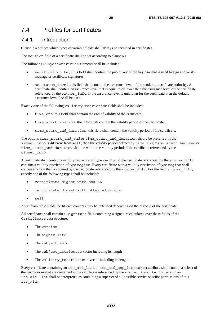### <span id="page-28-0"></span>7.4 Profiles for certificates

#### 7.4.1 Introduction

Clause 7.4 defines which types of variable fields shall always be included in certificates.

The version field of a certificate shall be set according to clause 6.1.

The following SubjectAttribute elements shall be included:

- verification key: this field shall contain the public key of the key pair that is used to sign and verify message or certificate signatures.
- assurance level: this field shall contain the assurance level of the sender or certificate authority. A certificate shall contain an assurance level that is equal to or lower than the assurance level of the certificate referenced by the signer info. If the assurance level is unknown for the certificate then the default assurance level 0 shall be used.

Exactly one of the following [ValidityRestriction](#page-24-0) fields shall be included:

- time end: this field shall contain the end of validity of the certificate.
- time start and end: this field shall contain the validity period of the certificate.
- time start and duration: this field shall contain the validity period of the certificate.

The options time\_start\_and\_end or time\_start\_and\_duration should be preferred. If the signer\_info is different from self, then the validity period defined by time\_end, time\_start\_and\_end or time\_start\_and duration shall be within the validity period of the certificate referenced by the signer info.

A certificate shall contain a validity restriction of type region, if the certificate referenced by the signer\_info contains a validity restriction of type region. Every certificate with a validity restriction of type region shall contain a region that is covered by the certificate referenced by the signer info. For the field signer info, exactly one of the following types shall be included:

- certificate digest with sha256
- certificate digest with other algorithm
- self

Apart from these fields, certificate contents may be extended depending on the purpose of the certificate.

All certificates shall contain a Signature field containing a signature calculated over these fields of the Certificate data structure:

- The version
- The signer info
- The subject info
- The subject attributes vector including its length
- The validity restrictions vector including its length

Every certificate containing an its\_aid\_list or its\_aid\_ssp\_list subject attribute shall contain a subset of the permissions that are contained in the certificate referenced by the signer info. An its aid in an its aid list shall be interpreted as containing a superset of all possible service specific permissions of this its\_aid.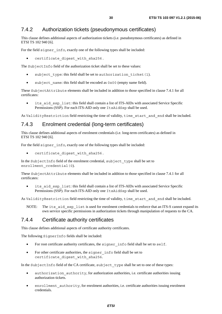### <span id="page-29-0"></span>7.4.2 Authorization tickets (pseudonymous certificates)

This clause defines additional aspects of authorization tickets (i.e. pseudonymous certificates) as defined in ETSI TS 102 940 [[6\]](#page-5-0).

For the field signer info, exactly one of the following types shall be included:

certificate digest with sha256.

The [SubjectInfo](#page-22-0) field of the authorization ticket shall be set to these values:

- subject type: this field shall be set to authorization ticket (1).
- subject name: this field shall be encoded as 0x00 (empty name field).

These SubjectAttribute elements shall be included in addition to those specified in clause [7.](#page-28-0)4.1 for all certificates:

its aid ssp list: this field shall contain a list of ITS-AIDs with associated Service Specific Permissions (SSP). For each ITS-AID only one ItsAidSsp shall be used.

As [ValidityRestriction](#page-24-0) field restricting the time of validity, time\_start\_and\_end shall be included.

#### 7.4.3 Enrolment credential (long-term certificates)

This clause defines additional aspects of enrolment credentials (i.e. long-term certificates) as defined in ETSI TS 102 940 [[6\]](#page-5-0).

For the field signer info, exactly one of the following types shall be included:

certificate digest with sha256.

In the [SubjectInfo](#page-22-0) field of the enrolment credential, subject\_type shall be set to enrollment credential(0).

These SubjectAttribute elements shall be included in addition to those specified in clause [7.](#page-28-0)4.1 for all certificates:

its aid ssp list: this field shall contain a list of ITS-AIDs with associated Service Specific Permissions (SSP). For each ITS-AID only one ItsAidSsp shall be used.

As [ValidityRestriction](#page-24-0) field restricting the time of validity, time\_start\_and\_end shall be included.

NOTE: The its aid ssp list is used for enrolment credentials to enforce that an ITS-S cannot expand its own service specific permissions in authorization tickets through manipulation of requests to the CA.

#### 7.4.4 Certificate authority certificates

This clause defines additional aspects of certificate authority certificates.

The following [SignerInfo](#page-11-0) fields shall be included:

- For root certificate authority certificates, the signer info field shall be set to self.
- For other certificate authorities, the signer info field shall be set to certificate digest with sha256.

In the [SubjectInfo](#page-22-0) field of the CA certificate, subject\_type shall be set to one of these types:

- authorization authority, for authorization authorities, i.e. certificate authorities issuing authorization tickets.
- enrollment authority, for enrolment authorities, i.e. certificate authorities issuing enrolment credentials.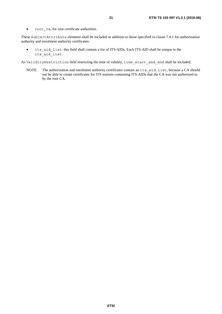• root ca, for root certificate authorities.

These SubjectAttribute elements shall be included in addition to those specified in clause [7.](#page-28-0)4.1 for authorization authority and enrolment authority certificates:

• its aid list: this field shall contain a list of ITS-AIDs. Each ITS-AID shall be unique in the its aid list.

As [ValidityRestriction](#page-24-0) field restricting the time of validity, time\_start\_and\_end shall be included.

NOTE: The authorization and enrolment authority certificates contain an its\_aid\_list, because a CA should not be able to create certificates for ITS stations containing ITS-AIDs that the CA was not authorized to by the root CA.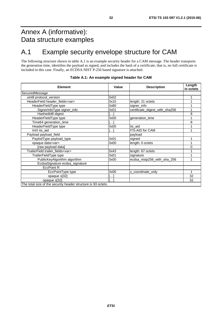# <span id="page-31-0"></span>Annex A (informative): Data structure examples

# A.1 Example security envelope structure for CAM

The following structure shown in table A.1 is an example security header for a CAM message. The header transports the generation time, identifies the payload as signed, and includes the hash of a certificate, that is, no full certificate is included in this case. Finally, an ECDSA NIST P-256 based signature is attached.

| <b>Element</b>                          | Value    | <b>Description</b>             | Length<br>in octets |
|-----------------------------------------|----------|--------------------------------|---------------------|
| SecuredMessage                          |          |                                |                     |
| uint8 protocol_version                  | 0x02     |                                |                     |
| HeaderField header_fields <var></var>   | 0x15     | length: 21 octets              |                     |
| HeaderFieldType type                    | 0x80     | signer_info                    |                     |
| SignerInfoType signer_info              | 0x01     | certificate_digest_with_sha256 |                     |
| HashedId8 digest                        | $\cdots$ |                                | 8                   |
| HeaderFieldType type                    | 0x00     | generation_time                |                     |
| Time64 generation_time                  | $\cdots$ |                                | 8                   |
| HeaderFieldType type                    | 0x05     | its_aid                        |                     |
| IntX its aid                            | .        | <b>ITS-AID for CAM</b>         |                     |
| Payload payload_field                   |          | payload                        |                     |
| PaylodType payload_type                 | 0x01     | signed                         |                     |
| opaque data <var></var>                 | 0x00     | length: 0 octets               | 1                   |
| [raw payload data]                      |          |                                | 0                   |
| TrailerField trailer_fields <var></var> | 0x43     | length: 67 octets              |                     |
| TrailerFieldType type                   | 0x01     | signature                      |                     |
| PublicKeyAlgorithm algorithm            | 0x00     | ecdsa_nistp256_with_sha_256    |                     |
| EcdsaSignature ecdsa_signature          |          |                                |                     |
| <b>EccPoint R</b>                       |          |                                |                     |
| EccPointType type                       | 0x00     | x coordinate only              | 1                   |
| opaque x[32]                            |          |                                | 32                  |
| opaque s[32]                            |          |                                | 32                  |

#### **Table A.1: An example signed header for CAM**

The total size of the security header structure is 93 octets.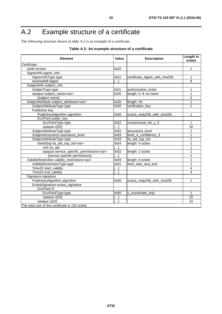# <span id="page-32-0"></span>A.2 Example structure of a certificate

The following structure shown in table A.2 is an example of a certificate.

| <b>Element</b>                                        |            | <b>Description</b>              | Length in<br>octets |
|-------------------------------------------------------|------------|---------------------------------|---------------------|
| Certificate                                           |            |                                 |                     |
| uint8 version                                         |            |                                 | 1                   |
| SignerInfo signer_info                                |            |                                 |                     |
| SignerInfoType type                                   |            | certificate_digest_with_sha256  | 1                   |
| HashedId8 digest                                      |            |                                 | 8                   |
| SubjectInfo subject_info                              |            |                                 |                     |
| SubjectType type                                      |            | authorization_ticket            | 1                   |
| opaque subject_name <var></var>                       |            | length: $0 \rightarrow$ no name | 1                   |
| [subject name]                                        |            |                                 | 0                   |
| SubjectAttribute subject_attributes <var></var>       |            | length: 43                      | 1                   |
| SubjectAttributeType type                             |            | verification_key                | 1                   |
| PublicKey key                                         |            |                                 |                     |
| PublicKeyAlgorithm algorithm                          | 0x00       | ecdsa_nistp256_with_sha256      | 1                   |
| EccPoint public_key                                   |            |                                 |                     |
| EccPointType type                                     | 0x02       | compressed_lsb_y_0              | 1                   |
| opaque x[32]                                          |            |                                 | 32                  |
| SubjectAttributeType type                             | 0x02       | assurance level                 | 1                   |
| SubjectAssurance assurance_level                      |            | level_4_confidence_3            | 1                   |
| SubjectAttributeType type                             |            | its_aid_ssp_list                | 1                   |
| ItsAidSsp its_aid_ssp_list <var></var>                | 0x04<br>[] | length: 4 octets                | 1                   |
| IntX its_aid                                          |            |                                 | 1                   |
| opaque service_specific_permissions <var></var>       |            | length: 2 octets                | 1                   |
| [service specific permissions]                        |            |                                 | 2                   |
| ValidityRestriction validity_restrictions <var></var> |            | length: 9 octets                | 1                   |
| ValidityRestrictionType type                          |            | time_start_and_end              | 1                   |
| Time32 start_validity                                 |            |                                 | 4                   |
| Time32 end_validity                                   |            |                                 | 4                   |
| Signature signature                                   |            |                                 |                     |
| PublicKeyAlgorithm algorithm                          | 0x00       | ecdsa_nistp256_with_sha256      | 1                   |
| EcdsaSignature ecdsa_signature                        |            |                                 |                     |
| <b>EccPoint R</b>                                     |            |                                 |                     |
| EccPointType type                                     |            | x_coordinate_only               | 1                   |
| opaque x[32]                                          |            |                                 | 32                  |
| opaque s[32]                                          |            |                                 | 32                  |
| The total size of this certificate is 132 octets.     |            |                                 |                     |

#### **Table A.2: An example structure of a certificate**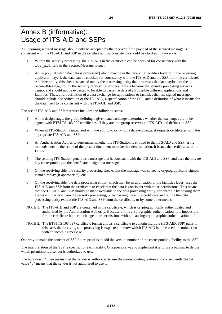## <span id="page-33-0"></span>Annex B (informative): Usage of ITS-AID and SSPs

An incoming secured message should only be accepted by the receiver if the payload of the secured message is consistent with the ITS-AID and SSP in the certificate. This consistency should be checked in two ways:

- 1) Within the security processing, the ITS-AID in the certificate can be checked for consistency with the its\_aid field in the SecuredMessage format.
- 2) At the point at which the data is processed (which may be in the receiving facilities layer or in the receiving application layer), the data can be checked for consistency with the ITS-AID and the SSP from the certificate. Architecturally, this check is carried out by the processing entity that processes the data payload of the SecuredMessage, not by the security processing services. This is because the security processing services cannot and should not be expected to be able to parse the data of all possible different applications and facilities. Thus, a full definition of a data exchange for applications or facilities that use signed messages should include a specification of the ITS-AID, a specification of the SSP, and a definition of what it means for the data itself to be consistent with the ITS-AID and SSP.

The use of ITS-AID and SSP therefore includes the following steps:

- 1) At the design stage, the group defining a given data exchange determines whether the exchanges are to be signed with ETSI TS 103 097 certificates. If they are, the group reserves an ITS-AID and defines an SSP.
- 2) When an ITS-Station is initialized with the ability to carry out a data exchange, it requests certificates with the appropriate ITS-AID and SSP.
- 3) An Authorization Authority determines whether the ITS-Station is entitled to that ITS-AID and SSP, using methods outside the scope of the present document to make that determination. It issues the certificates to the ITS-S.
- 4) The sending ITS-Station generates a message that is consistent with the ITS-AID and SSP, and uses the private key corresponding to the certificate to sign that message.
- 5) On the receiving side, the security processing checks that the message was correctly cryptographically signed, is not a replay (if appropriate), etc.
- 6) On the receiving side, the data processing entity (which may be an application or the facilities layer) uses the ITS-AID and SSP from the certificate to check that the data is consistent with those permissions. This means that the ITS-AID and SSP should be made available to the data processing entity, for example by passing them across an interface from the security processing, or by passing the entire certificate and letting the data processing entity extract the ITS-AID and SSP from the certificate, or by some other means.
- NOTE 1: The ITS-AID and SSP are contained in the certificate, which is cryptographically authenticated and authorized by the Authorization Authority. Because of this cryptographic authentication, it is impossible for the certificate holder to change their permissions without causing cryptographic authentication to fail.
- NOTE 2: The ETSI TS 103 097 certificate format allows a certificate to contain multiple (ITS-AID, SSP) pairs. In this case, the receiving side processing is expected to know which ITS-AID is to be used in conjunction with an incoming message.

One way to make the concept of SSP future proof is to add the version number of the corresponding facility to the SSP.

The interpretation of the SSP is specific for each facility. One possible way to implement it is to use a bit map to define which permissions a sender is authorized to use.

The bit value "1" then means that the sender is authorized to use the corresponding feature and consequently the bit value "0" means that the sender is not authorized to use it.